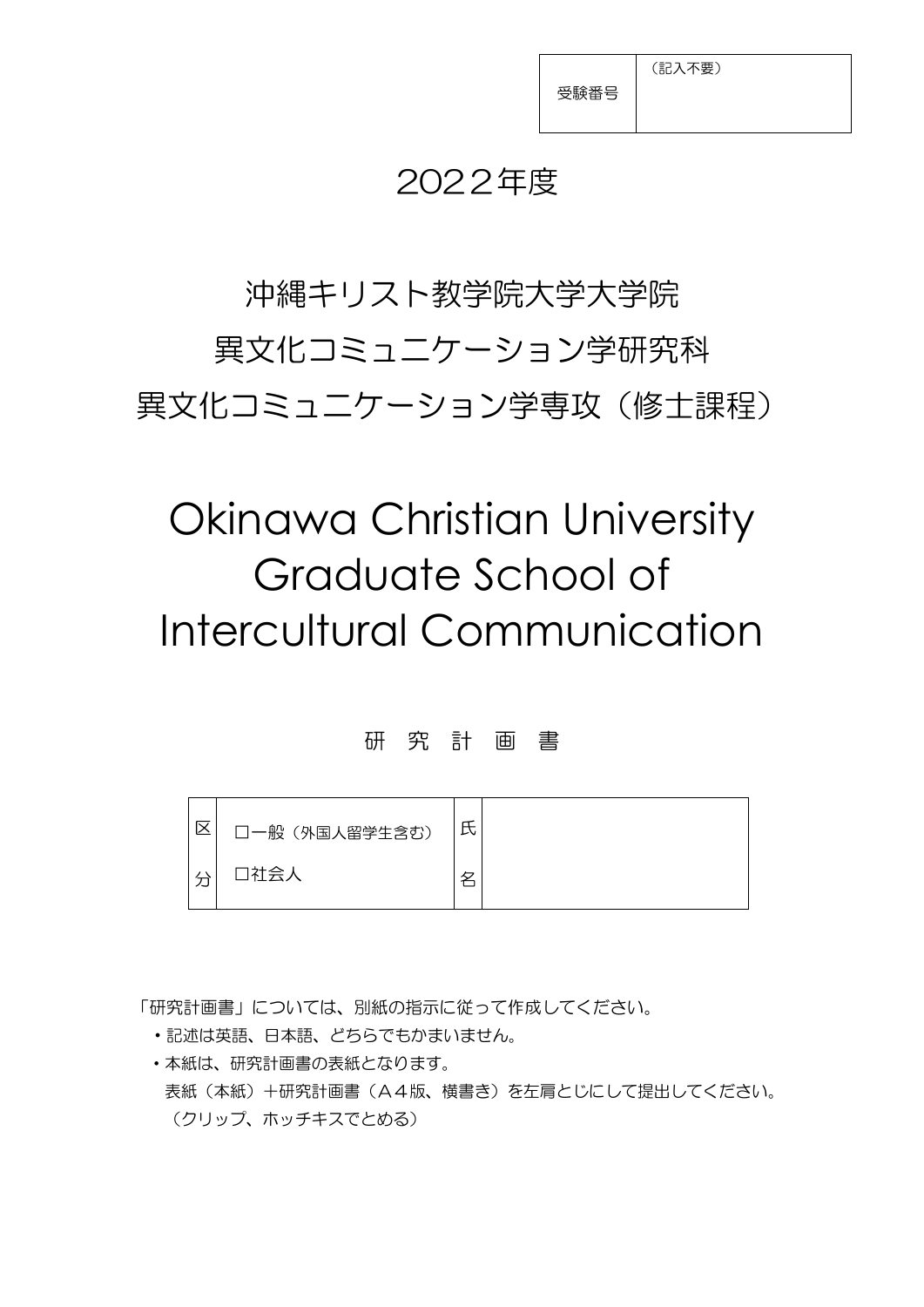(記入不要)

## 2022年度

沖縄キリスト教学院大学大学院 異文化コミュニケーション学研究科 異文化コミュニケーション学専攻(修士課程)

# Okinawa Christian University Graduate School of Intercultural Communication

#### 研 究 計 画 書



「研究計画書」については、別紙の指示に従って作成してください。

- ・記述は英語、日本語、どちらでもかまいません。
- ・本紙は、研究計画書の表紙となります。 表紙(本紙)+研究計画書(A4版、横書き)を左肩とじにして提出してください。 (クリップ、ホッチキスでとめる)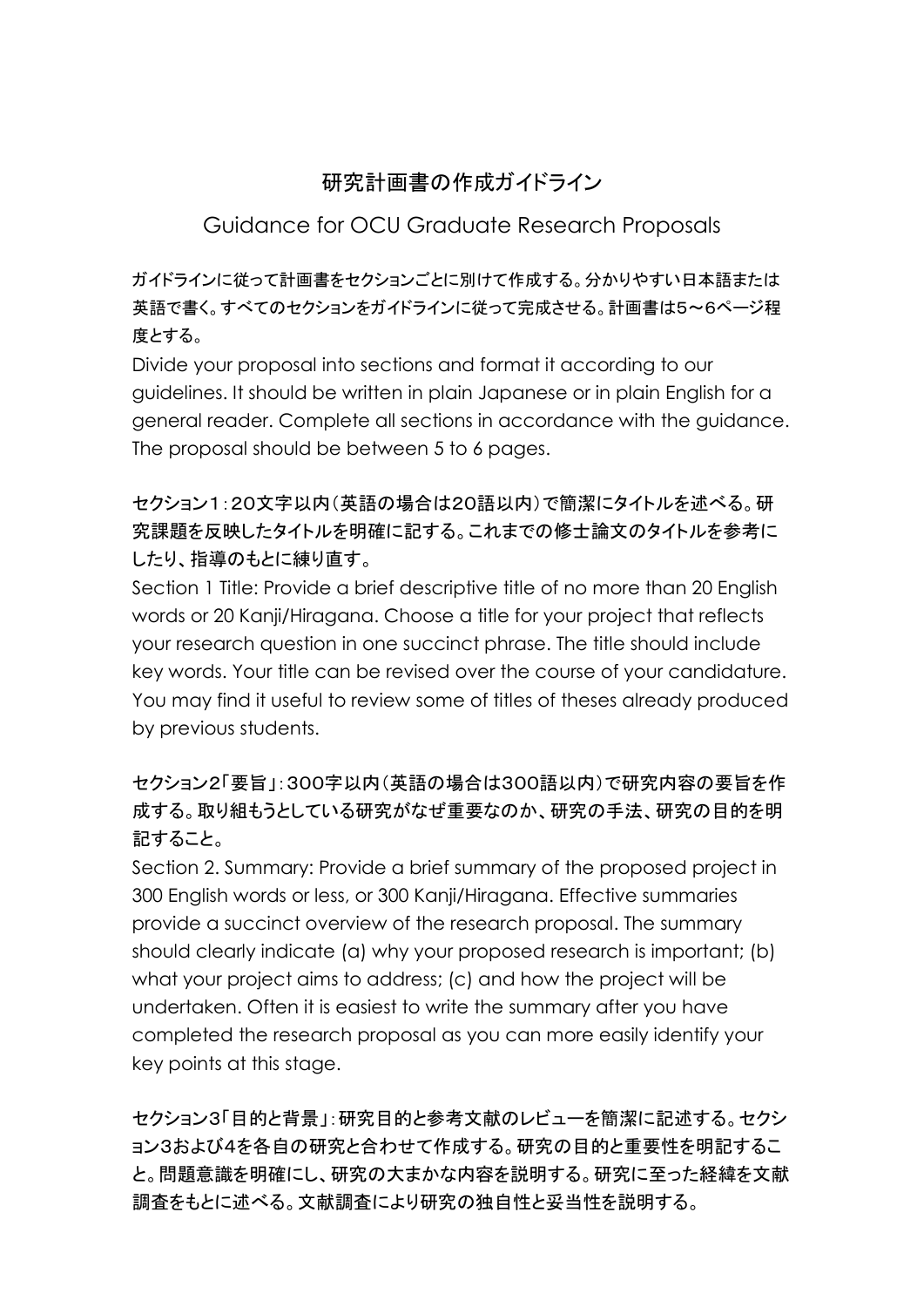### 研究計画書の作成ガイドライン

#### Guidance for OCU Graduate Research Proposals

ガイドラインに従って計画書をセクションごとに別けて作成する。分かりやすい日本語または 英語で書く。すべてのセクションをガイドラインに従って完成させる。計画書は5〜6ページ程 度とする。

Divide your proposal into sections and format it according to our guidelines. It should be written in plain Japanese or in plain English for a general reader. Complete all sections in accordance with the guidance. The proposal should be between 5 to 6 pages.

#### セクション1:20文字以内(英語の場合は20語以内)で簡潔にタイトルを述べる。研 究課題を反映したタイトルを明確に記する。これまでの修士論文のタイトルを参考に したり、指導のもとに練り直す。

Section 1 Title: Provide a brief descriptive title of no more than 20 English words or 20 Kanji/Hiragana. Choose a title for your project that reflects your research question in one succinct phrase. The title should include key words. Your title can be revised over the course of your candidature. You may find it useful to review some of titles of theses already produced by previous students.

#### セクション2「要旨」:300字以内(英語の場合は300語以内)で研究内容の要旨を作 成する。取り組もうとしている研究がなぜ重要なのか、研究の手法、研究の目的を明 記すること。

Section 2. Summary: Provide a brief summary of the proposed project in 300 English words or less, or 300 Kanji/Hiragana. Effective summaries provide a succinct overview of the research proposal. The summary should clearly indicate (a) why your proposed research is important; (b) what your project aims to address; (c) and how the project will be undertaken. Often it is easiest to write the summary after you have completed the research proposal as you can more easily identify your key points at this stage.

セクション3「目的と背景」:研究目的と参考文献のレビューを簡潔に記述する。セクシ ョン3および4を各自の研究と合わせて作成する。研究の目的と重要性を明記するこ と。問題意識を明確にし、研究の大まかな内容を説明する。研究に至った経緯を文献 調査をもとに述べる。文献調査により研究の独自性と妥当性を説明する。